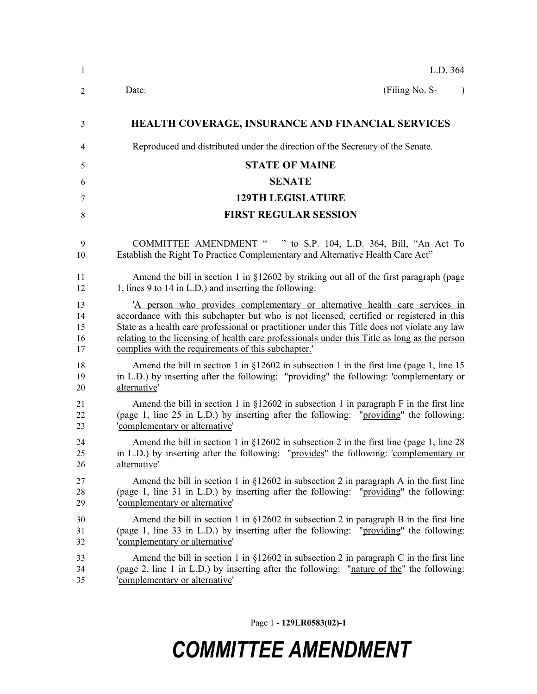| $\mathbf{1}$   | L.D. 364                                                                                      |
|----------------|-----------------------------------------------------------------------------------------------|
| $\overline{2}$ | (Filing No. S-<br>Date:                                                                       |
| 3              | <b>HEALTH COVERAGE, INSURANCE AND FINANCIAL SERVICES</b>                                      |
| 4              | Reproduced and distributed under the direction of the Secretary of the Senate.                |
| 5              | <b>STATE OF MAINE</b>                                                                         |
| 6              | <b>SENATE</b>                                                                                 |
| 7              | <b>129TH LEGISLATURE</b>                                                                      |
| 8              | <b>FIRST REGULAR SESSION</b>                                                                  |
| 9              | COMMITTEE AMENDMENT " " to S.P. 104, L.D. 364, Bill, "An Act To                               |
| 10             | Establish the Right To Practice Complementary and Alternative Health Care Act"                |
| 11             | Amend the bill in section 1 in $\S$ 12602 by striking out all of the first paragraph (page    |
| 12             | 1, lines 9 to 14 in L.D.) and inserting the following:                                        |
| 13             | 'A person who provides complementary or alternative health care services in                   |
| 14             | accordance with this subchapter but who is not licensed, certified or registered in this      |
| 15             | State as a health care professional or practitioner under this Title does not violate any law |
| 16             | relating to the licensing of health care professionals under this Title as long as the person |
| 17             | complies with the requirements of this subchapter.                                            |
| 18             | Amend the bill in section 1 in $\S 12602$ in subsection 1 in the first line (page 1, line 15  |
| 19             | in L.D.) by inserting after the following: "providing" the following: 'complementary or       |
| 20             | alternative'                                                                                  |
| 21             | Amend the bill in section 1 in $\S$ 12602 in subsection 1 in paragraph F in the first line    |
| 22             | (page 1, line 25 in L.D.) by inserting after the following: "providing" the following:        |
| 23             | 'complementary or alternative'                                                                |
| 24             | Amend the bill in section 1 in $\S 12602$ in subsection 2 in the first line (page 1, line 28) |
| 25             | in L.D.) by inserting after the following: "provides" the following: 'complementary or        |
| 26             | alternative'                                                                                  |
| 27             | Amend the bill in section 1 in $\S$ 12602 in subsection 2 in paragraph A in the first line    |
| 28             | (page 1, line 31 in L.D.) by inserting after the following: "providing" the following:        |
| 29             | 'complementary or alternative'                                                                |
| 30             | Amend the bill in section 1 in $\S$ 12602 in subsection 2 in paragraph B in the first line    |
| 31             | (page 1, line 33 in L.D.) by inserting after the following: "providing" the following:        |
| 32             | 'complementary or alternative'                                                                |
| 33             | Amend the bill in section 1 in $\S$ 12602 in subsection 2 in paragraph C in the first line    |
| 34             | (page 2, line 1 in L.D.) by inserting after the following: "nature of the" the following:     |
| 35             | 'complementary or alternative'                                                                |

Page 1 **- 129LR0583(02)-1**

## *COMMITTEE AMENDMENT*